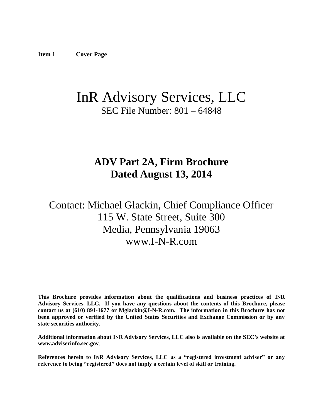# <span id="page-0-0"></span>InR Advisory Services, LLC SEC File Number: 801 – 64848

# **ADV Part 2A, Firm Brochure Dated August 13, 2014**

# Contact: Michael Glackin, Chief Compliance Officer 115 W. State Street, Suite 300 Media, Pennsylvania 19063 www.I-N-R.com

**This Brochure provides information about the qualifications and business practices of INR Advisory Services, LLC. If you have any questions about the contents of this Brochure, please contact us at (610) 891-1677 or Mglackin@I-N-R.com. The information in this Brochure has not been approved or verified by the United States Securities and Exchange Commission or by any state securities authority.**

**Additional information about INR Advisory Services, LLC also is available on the SEC's website at www.adviserinfo.sec.gov**.

**References herein to INR Advisory Services, LLC as a "registered investment adviser" or any reference to being "registered" does not imply a certain level of skill or training.**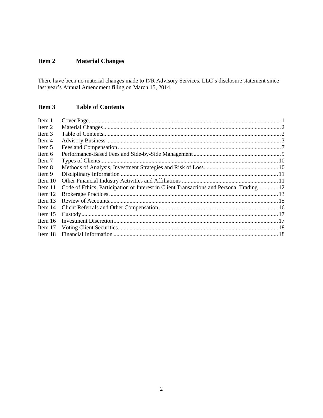#### <span id="page-1-0"></span>Item 2 **Material Changes**

There have been no material changes made to INR Advisory Services, LLC's disclosure statement since last year's Annual Amendment filing on March 15, 2014.

#### <span id="page-1-1"></span>Item 3 **Table of Contents**

<span id="page-1-2"></span>

| Item 1    |                                                                                          |  |
|-----------|------------------------------------------------------------------------------------------|--|
| Item 2    |                                                                                          |  |
| Item 3    |                                                                                          |  |
| Item 4    |                                                                                          |  |
| Item 5    |                                                                                          |  |
| Item 6    |                                                                                          |  |
| Item 7    |                                                                                          |  |
| Item 8    |                                                                                          |  |
| Item 9    |                                                                                          |  |
| Item $10$ |                                                                                          |  |
| Item 11   | Code of Ethics, Participation or Interest in Client Transactions and Personal Trading 12 |  |
| Item $12$ |                                                                                          |  |
| Item $13$ |                                                                                          |  |
| Item $14$ |                                                                                          |  |
| Item $15$ |                                                                                          |  |
| Item $16$ |                                                                                          |  |
| Item 17   |                                                                                          |  |
| Item 18   |                                                                                          |  |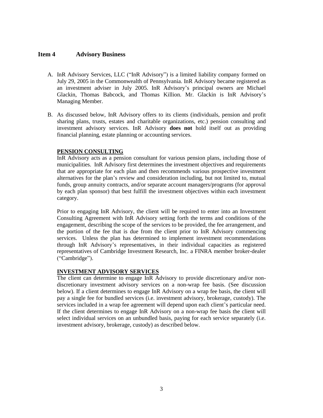## **Item 4 Advisory Business**

- A. InR Advisory Services, LLC ("InR Advisory") is a limited liability company formed on July 29, 2005 in the Commonwealth of Pennsylvania. InR Advisory became registered as an investment adviser in July 2005. InR Advisory's principal owners are Michael Glackin, Thomas Babcock, and Thomas Killion. Mr. Glackin is InR Advisory's Managing Member.
- B. As discussed below, InR Advisory offers to its clients (individuals, pension and profit sharing plans, trusts, estates and charitable organizations, etc.) pension consulting and investment advisory services. InR Advisory **does not** hold itself out as providing financial planning, estate planning or accounting services.

### **PENSION CONSULTING**

InR Advisory acts as a pension consultant for various pension plans, including those of municipalities. InR Advisory first determines the investment objectives and requirements that are appropriate for each plan and then recommends various prospective investment alternatives for the plan's review and consideration including, but not limited to, mutual funds, group annuity contracts, and/or separate account managers/programs (for approval by each plan sponsor) that best fulfill the investment objectives within each investment category.

Prior to engaging InR Advisory, the client will be required to enter into an Investment Consulting Agreement with InR Advisory setting forth the terms and conditions of the engagement, describing the scope of the services to be provided, the fee arrangement, and the portion of the fee that is due from the client prior to InR Advisory commencing services. Unless the plan has determined to implement investment recommendations through InR Advisory's representatives, in their individual capacities as registered representatives of Cambridge Investment Research, Inc. a FINRA member broker-dealer ("Cambridge").

### **INVESTMENT ADVISORY SERVICES**

The client can determine to engage InR Advisory to provide discretionary and/or nondiscretionary investment advisory services on a non-wrap fee basis. (See discussion below). If a client determines to engage InR Advisory on a wrap fee basis, the client will pay a single fee for bundled services (i.e. investment advisory, brokerage, custody). The services included in a wrap fee agreement will depend upon each client's particular need. If the client determines to engage InR Advisory on a non-wrap fee basis the client will select individual services on an unbundled basis, paying for each service separately (i.e. investment advisory, brokerage, custody) as described below.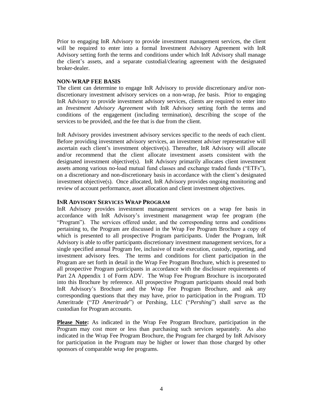Prior to engaging InR Advisory to provide investment management services, the client will be required to enter into a formal Investment Advisory Agreement with InR Advisory setting forth the terms and conditions under which InR Advisory shall manage the client's assets, and a separate custodial/clearing agreement with the designated broker-dealer.

#### **NON-WRAP FEE BASIS**

The client can determine to engage InR Advisory to provide discretionary and/or nondiscretionary investment advisory services on a non-wrap, *fee* basis. Prior to engaging InR Advisory to provide investment advisory services, clients are required to enter into an *Investment Advisory Agreement* with InR Advisory setting forth the terms and conditions of the engagement (including termination), describing the scope of the services to be provided, and the fee that is due from the client.

InR Advisory provides investment advisory services specific to the needs of each client. Before providing investment advisory services, an investment adviser representative will ascertain each client's investment objective(s). Thereafter, InR Advisory will allocate and/or recommend that the client allocate investment assets consistent with the designated investment objective(s). InR Advisory primarily allocates client investment assets among various no-load mutual fund classes and exchange traded funds ("ETFs"), on a discretionary and non-discretionary basis in accordance with the client's designated investment objective(s). Once allocated, InR Advisory provides ongoing monitoring and review of account performance, asset allocation and client investment objectives.

### **INR ADVISORY SERVICES WRAP PROGRAM**

InR Advisory provides investment management services on a wrap fee basis in accordance with InR Advisory's investment management wrap fee program (the "Program"). The services offered under, and the corresponding terms and conditions pertaining to, the Program are discussed in the Wrap Fee Program Brochure a copy of which is presented to all prospective Program participants. Under the Program, InR Advisory is able to offer participants discretionary investment management services, for a single specified annual Program fee, inclusive of trade execution, custody, reporting, and investment advisory fees. The terms and conditions for client participation in the Program are set forth in detail in the Wrap Fee Program Brochure, which is presented to all prospective Program participants in accordance with the disclosure requirements of Part 2A Appendix 1 of Form ADV. The Wrap Fee Program Brochure is incorporated into this Brochure by reference. All prospective Program participants should read both InR Advisory's Brochure and the Wrap Fee Program Brochure, and ask any corresponding questions that they may have, prior to participation in the Program. TD Ameritrade ("*TD Ameritrade*") or Pershing, LLC ("*Pershing*") shall serve as the custodian for Program accounts.

**Please Note:** As indicated in the Wrap Fee Program Brochure, participation in the Program may cost more or less than purchasing such services separately. As also indicated in the Wrap Fee Program Brochure, the Program fee charged by InR Advisory for participation in the Program may be higher or lower than those charged by other sponsors of comparable wrap fee programs.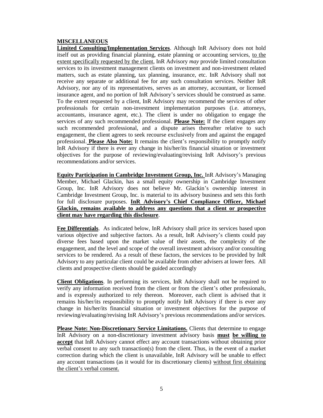#### **MISCELLANEOUS**

**Limited Consulting/Implementation Services**. Although InR Advisory does not hold itself out as providing financial planning, estate planning or accounting services, to the extent specifically requested by the client, InR Advisory *may* provide limited consultation services to its investment management clients on investment and non-investment related matters, such as estate planning, tax planning, insurance, etc. InR Advisory shall not receive any separate or additional fee for any such consultation services. Neither InR Advisory, nor any of its representatives, serves as an attorney, accountant, or licensed insurance agent, and no portion of InR Advisory's services should be construed as same. To the extent requested by a client, InR Advisory may recommend the services of other professionals for certain non-investment implementation purposes (i.e. attorneys, accountants, insurance agent, etc.). The client is under no obligation to engage the services of any such recommended professional. **Please Note:** If the client engages any such recommended professional, and a dispute arises thereafter relative to such engagement, the client agrees to seek recourse exclusively from and against the engaged professional. **Please Also Note:** It remains the client's responsibility to promptly notify InR Advisory if there is ever any change in his/her/its financial situation or investment objectives for the purpose of reviewing/evaluating/revising InR Advisory's previous recommendations and/or services.

**Equity Participation in Cambridge Investment Group, Inc.** InR Advisory's Managing Member, Michael Glackin, has a small equity ownership in Cambridge Investment Group, Inc. InR Advisory does not believe Mr. Glackin's ownership interest in Cambridge Investment Group, Inc. is material to its advisory business and sets this forth for full disclosure purposes. **InR Advisory's Chief Compliance Officer, Michael Glackin, remains available to address any questions that a client or prospective client may have regarding this disclosure**.

**Fee Differentials**. As indicated below, InR Advisory shall price its services based upon various objective and subjective factors. As a result, InR Advisory's clients could pay diverse fees based upon the market value of their assets, the complexity of the engagement, and the level and scope of the overall investment advisory and/or consulting services to be rendered. As a result of these factors, the services to be provided by InR Advisory to any particular client could be available from other advisers at lower fees. All clients and prospective clients should be guided accordingly

**Client Obligations**. In performing its services, InR Advisory shall not be required to verify any information received from the client or from the client's other professionals, and is expressly authorized to rely thereon. Moreover, each client is advised that it remains his/her/its responsibility to promptly notify InR Advisory if there is ever any change in his/her/its financial situation or investment objectives for the purpose of reviewing/evaluating/revising InR Advisory's previous recommendations and/or services.

**Please Note: Non-Discretionary Service Limitations.** Clients that determine to engage InR Advisory on a non-discretionary investment advisory basis **must be willing to accept** that InR Advisory cannot effect any account transactions without obtaining prior verbal consent to any such transaction(s) from the client. Thus, in the event of a market correction during which the client is unavailable, InR Advisory will be unable to effect any account transactions (as it would for its discretionary clients) without first obtaining the client's verbal consent.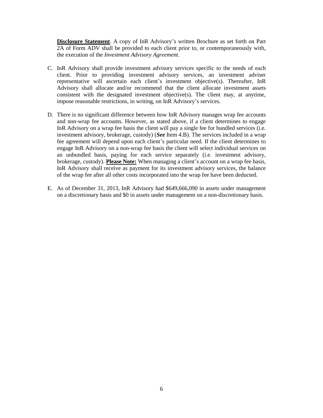**Disclosure Statement**. A copy of InR Advisory's written Brochure as set forth on Part 2A of Form ADV shall be provided to each client prior to, or contemporaneously with, the execution of the *Investment Advisory Agreement*.

- C. InR Advisory shall provide investment advisory services specific to the needs of each client. Prior to providing investment advisory services, an investment adviser representative will ascertain each client's investment objective(s). Thereafter, InR Advisory shall allocate and/or recommend that the client allocate investment assets consistent with the designated investment objective(s). The client may, at anytime, impose reasonable restrictions, in writing, on InR Advisory's services.
- D. There is no significant difference between how InR Advisory manages wrap fee accounts and non-wrap fee accounts. However, as stated above, if a client determines to engage InR Advisory on a wrap fee basis the client will pay a single fee for bundled services (i.e. investment advisory, brokerage, custody) (*See* Item 4.B). The services included in a wrap fee agreement will depend upon each client's particular need. If the client determines to engage InR Advisory on a non-wrap fee basis the client will select individual services on an unbundled basis, paying for each service separately (i.e. investment advisory, brokerage, custody). **Please Note:** When managing a client's account on a wrap fee basis, InR Advisory shall receive as payment for its investment advisory services, the balance of the wrap fee after all other costs incorporated into the wrap fee have been deducted.
- <span id="page-5-0"></span>E. As of December 31, 2013, InR Advisory had \$649,666,090 in assets under management on a discretionary basis and \$0 in assets under management on a non-discretionary basis.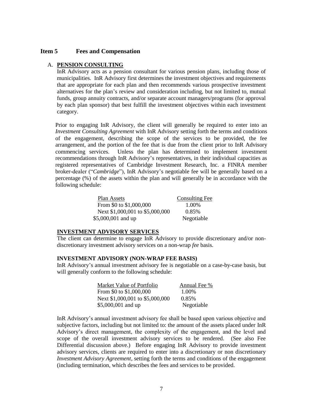#### **Item 5 Fees and Compensation**

#### A. **PENSION CONSULTING**

InR Advisory acts as a pension consultant for various pension plans, including those of municipalities. InR Advisory first determines the investment objectives and requirements that are appropriate for each plan and then recommends various prospective investment alternatives for the plan's review and consideration including, but not limited to, mutual funds, group annuity contracts, and/or separate account managers/programs (for approval by each plan sponsor) that best fulfill the investment objectives within each investment category.

Prior to engaging InR Advisory, the client will generally be required to enter into an *Investment Consulting Agreement* with InR Advisory setting forth the terms and conditions of the engagement, describing the scope of the services to be provided, the fee arrangement, and the portion of the fee that is due from the client prior to InR Advisory commencing services. Unless the plan has determined to implement investment recommendations through InR Advisory's representatives, in their individual capacities as registered representatives of Cambridge Investment Research, Inc. a FINRA member broker-dealer ("*Cambridge*"), InR Advisory's negotiable fee will be generally based on a percentage (%) of the assets within the plan and will generally be in accordance with the following schedule:

| Plan Assets                     | <b>Consulting Fee</b> |
|---------------------------------|-----------------------|
| From \$0 to \$1,000,000         | 1.00%                 |
| Next \$1,000,001 to \$5,000,000 | 0.85%                 |
| \$5,000,001 and up              | Negotiable            |

# **INVESTMENT ADVISORY SERVICES**

The client can determine to engage InR Advisory to provide discretionary and/or nondiscretionary investment advisory services on a non-wrap *fee* basis.

#### **INVESTMENT ADVISORY (NON-WRAP FEE BASIS)**

InR Advisory's annual investment advisory fee is negotiable on a case-by-case basis, but will generally conform to the following schedule:

| Market Value of Portfolio       | Annual Fee % |
|---------------------------------|--------------|
| From \$0 to \$1,000,000         | 1.00%        |
| Next \$1,000,001 to \$5,000,000 | 0.85%        |
| \$5,000,001 and up              | Negotiable   |

InR Advisory's annual investment advisory fee shall be based upon various objective and subjective factors, including but not limited to: the amount of the assets placed under InR Advisory's direct management, the complexity of the engagement, and the level and scope of the overall investment advisory services to be rendered. (See also Fee Differential discussion above.) Before engaging InR Advisory to provide investment advisory services, clients are required to enter into a discretionary or non discretionary *Investment Advisory Agreement*, setting forth the terms and conditions of the engagement (including termination, which describes the fees and services to be provided.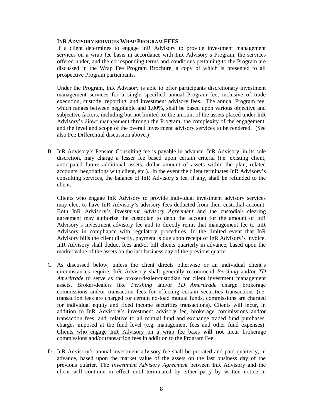#### **INR ADVISORY SERVICES WRAP PROGRAM FEES**

If a client determines to engage InR Advisory to provide investment management services on a wrap fee basis in accordance with InR Advisory's Program, the services offered under, and the corresponding terms and conditions pertaining to the Program are discussed in the Wrap Fee Program Brochure, a copy of which is presented to all prospective Program participants.

Under the Program, InR Advisory is able to offer participants discretionary investment management services for a single specified annual Program fee, inclusive of trade execution, custody, reporting, and investment advisory fees. The annual Program fee, which ranges between negotiable and 1.00%, shall be based upon various objective and subjective factors, including but not limited to: the amount of the assets placed under InR Advisory's direct management through the Program, the complexity of the engagement, and the level and scope of the overall investment advisory services to be rendered. (See also Fee Differential discussion above.)

B. InR Advisory's Pension Consulting fee is payable in advance. InR Advisory, in its sole discretion, may charge a lesser fee based upon certain criteria (i.e. existing client, anticipated future additional assets, dollar amount of assets within the plan, related accounts, negotiations with client, etc.). In the event the client terminates InR Advisory's consulting services, the balance of InR Advisory's fee, if any, shall be refunded to the client.

Clients who engage InR Advisory to provide individual investment advisory services may elect to have InR Advisory's advisory fees deducted from their custodial account. Both InR Advisory's *Investment Advisory Agreement* and the custodial/ clearing agreement may authorize the custodian to debit the account for the amount of InR Advisory's investment advisory fee and to directly remit that management fee to InR Advisory in compliance with regulatory procedures. In the limited event that InR Advisory bills the client directly, payment is due upon receipt of InR Advisory's invoice. InR Advisory shall deduct fees and/or bill clients quarterly in advance, based upon the market value of the assets on the last business day of the previous quarter.

- C. As discussed below, unless the client directs otherwise or an individual client's circumstances require, InR Advisory shall generally recommend *Pershing* and/or *TD Ameritrade* to serve as the broker-dealer/custodian for client investment management assets. Broker-dealers like *Pershing* and/or *TD Ameritrade* charge brokerage commissions and/or transaction fees for effecting certain securities transactions (i.e. transaction fees are charged for certain no-load mutual funds, commissions are charged for individual equity and fixed income securities transactions). Clients will incur, in addition to InR Advisory's investment advisory fee, brokerage commissions and/or transaction fees, and, relative to all mutual fund and exchange traded fund purchases, charges imposed at the fund level (e.g. management fees and other fund expenses). Clients who engage InR Advisory on a wrap fee basis **will not** incur brokerage commissions and/or transaction fees in addition to the Program Fee.
- D. InR Advisory's annual investment advisory fee shall be prorated and paid quarterly, in advance, based upon the market value of the assets on the last business day of the previous quarter. The *Investment Advisory Agreement* between InR Advisory and the client will continue in effect until terminated by either party by written notice in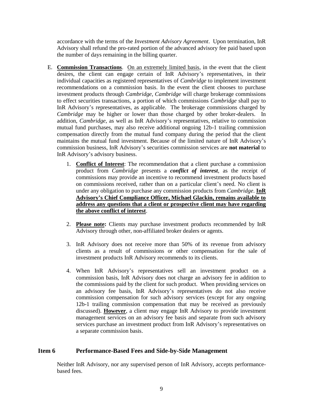accordance with the terms of the *Investment Advisory Agreement*. Upon termination, InR Advisory shall refund the pro-rated portion of the advanced advisory fee paid based upon the number of days remaining in the billing quarter.

- E. **Commission Transactions**. On an extremely limited basis, in the event that the client desires, the client can engage certain of InR Advisory's representatives, in their individual capacities as registered representatives of *Cambridge* to implement investment recommendations on a commission basis. In the event the client chooses to purchase investment products through *Cambridge*, *Cambridge* will charge brokerage commissions to effect securities transactions, a portion of which commissions *Cambridge* shall pay to InR Advisory's representatives, as applicable. The brokerage commissions charged by *Cambridge* may be higher or lower than those charged by other broker-dealers. In addition, *Cambridge*, as well as InR Advisory's representatives, relative to commission mutual fund purchases, may also receive additional ongoing 12b-1 trailing commission compensation directly from the mutual fund company during the period that the client maintains the mutual fund investment. Because of the limited nature of InR Advisory's commission business, InR Advisory's securities commission services are **not material** to InR Advisory's advisory business.
	- 1. **Conflict of Interest**: The recommendation that a client purchase a commission product from *Cambridge* presents a *conflict of interest*, as the receipt of commissions may provide an incentive to recommend investment products based on commissions received, rather than on a particular client's need. No client is under any obligation to purchase any commission products from *Cambridge*. **InR Advisory's Chief Compliance Officer, Michael Glackin, remains available to address any questions that a client or prospective client may have regarding the above conflict of interest**.
	- 2. **Please note:** Clients may purchase investment products recommended by InR Advisory through other, non-affiliated broker dealers or agents.
	- 3. InR Advisory does not receive more than 50% of its revenue from advisory clients as a result of commissions or other compensation for the sale of investment products InR Advisory recommends to its clients.
	- 4. When InR Advisory's representatives sell an investment product on a commission basis, InR Advisory does not charge an advisory fee in addition to the commissions paid by the client for such product. When providing services on an advisory fee basis, InR Advisory's representatives do not also receive commission compensation for such advisory services (except for any ongoing 12b-1 trailing commission compensation that may be received as previously discussed). **However**, a client may engage InR Advisory to provide investment management services on an advisory fee basis and separate from such advisory services purchase an investment product from InR Advisory's representatives on a separate commission basis.

# <span id="page-8-0"></span>**Item 6 Performance-Based Fees and Side-by-Side Management**

Neither InR Advisory, nor any supervised person of InR Advisory, accepts performancebased fees.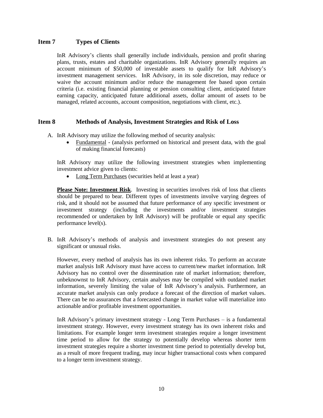# <span id="page-9-0"></span>**Item 7 Types of Clients**

InR Advisory's clients shall generally include individuals, pension and profit sharing plans, trusts, estates and charitable organizations. InR Advisory generally requires an account minimum of \$50,000 of investable assets to qualify for InR Advisory's investment management services. InR Advisory, in its sole discretion, may reduce or waive the account minimum and/or reduce the management fee based upon certain criteria (i.e. existing financial planning or pension consulting client, anticipated future earning capacity, anticipated future additional assets, dollar amount of assets to be managed, related accounts, account composition, negotiations with client, etc.).

# <span id="page-9-1"></span>**Item 8 Methods of Analysis, Investment Strategies and Risk of Loss**

A. InR Advisory may utilize the following method of security analysis:

 Fundamental - (analysis performed on historical and present data, with the goal of making financial forecasts)

InR Advisory may utilize the following investment strategies when implementing investment advice given to clients:

• Long Term Purchases (securities held at least a year)

**Please Note: Investment Risk**. Investing in securities involves risk of loss that clients should be prepared to bear. Different types of investments involve varying degrees of risk, and it should not be assumed that future performance of any specific investment or investment strategy (including the investments and/or investment strategies recommended or undertaken by InR Advisory) will be profitable or equal any specific performance level(s).

B. InR Advisory's methods of analysis and investment strategies do not present any significant or unusual risks.

However, every method of analysis has its own inherent risks. To perform an accurate market analysis InR Advisory must have access to current/new market information. InR Advisory has no control over the dissemination rate of market information; therefore, unbeknownst to InR Advisory, certain analyses may be compiled with outdated market information, severely limiting the value of InR Advisory's analysis. Furthermore, an accurate market analysis can only produce a forecast of the direction of market values. There can be no assurances that a forecasted change in market value will materialize into actionable and/or profitable investment opportunities.

InR Advisory's primary investment strategy - Long Term Purchases – is a fundamental investment strategy. However, every investment strategy has its own inherent risks and limitations. For example longer term investment strategies require a longer investment time period to allow for the strategy to potentially develop whereas shorter term investment strategies require a shorter investment time period to potentially develop but, as a result of more frequent trading, may incur higher transactional costs when compared to a longer term investment strategy.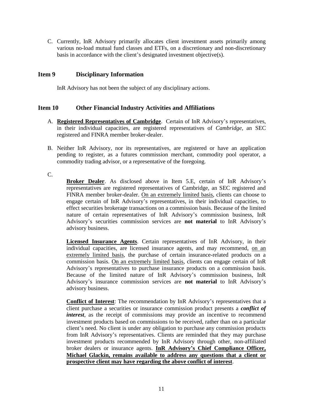C. Currently, InR Advisory primarily allocates client investment assets primarily among various no-load mutual fund classes and ETFs, on a discretionary and non-discretionary basis in accordance with the client's designated investment objective(s).

# <span id="page-10-0"></span>**Item 9 Disciplinary Information**

InR Advisory has not been the subject of any disciplinary actions.

# <span id="page-10-1"></span>**Item 10 Other Financial Industry Activities and Affiliations**

- A. **Registered Representatives of Cambridge**.Certain of InR Advisory's representatives, in their individual capacities, are registered representatives of *Cambridge*, an SEC registered and FINRA member broker-dealer.
- B. Neither InR Advisory, nor its representatives, are registered or have an application pending to register, as a futures commission merchant, commodity pool operator, a commodity trading advisor, or a representative of the foregoing.

C.

**Broker Dealer**. As disclosed above in Item 5.E, certain of InR Advisory's representatives are registered representatives of Cambridge, an SEC registered and FINRA member broker-dealer. On an extremely limited basis, clients can choose to engage certain of InR Advisory's representatives, in their individual capacities, to effect securities brokerage transactions on a commission basis. Because of the limited nature of certain representatives of InR Advisory's commission business, InR Advisory's securities commission services are **not material** to InR Advisory's advisory business.

**Licensed Insurance Agents**. Certain representatives of InR Advisory, in their individual capacities, are licensed insurance agents, and may recommend, on an extremely limited basis, the purchase of certain insurance-related products on a commission basis. On an extremely limited basis, clients can engage certain of InR Advisory's representatives to purchase insurance products on a commission basis. Because of the limited nature of InR Advisory's commission business, InR Advisory's insurance commission services are **not material** to InR Advisory's advisory business.

**Conflict of Interest**: The recommendation by InR Advisory's representatives that a client purchase a securities or insurance commission product presents a *conflict of interest*, as the receipt of commissions may provide an incentive to recommend investment products based on commissions to be received, rather than on a particular client's need. No client is under any obligation to purchase any commission products from InR Advisory's representatives. Clients are reminded that they may purchase investment products recommended by InR Advisory through other, non-affiliated broker dealers or insurance agents. **InR Advisory's Chief Compliance Officer, Michael Glackin, remains available to address any questions that a client or prospective client may have regarding the above conflict of interest**.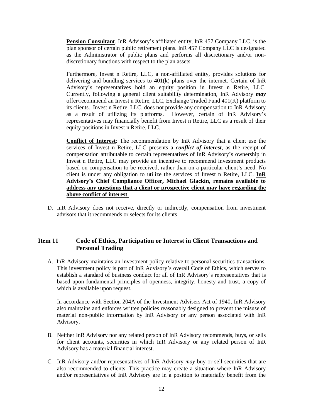**Pension Consultant**. InR Advisory's affiliated entity, InR 457 Company LLC, is the plan sponsor of certain public retirement plans. InR 457 Company LLC is designated as the Administrator of public plans and performs all discretionary and/or nondiscretionary functions with respect to the plan assets.

Furthermore, Invest n Retire, LLC, a non-affiliated entity, provides solutions for delivering and bundling services to 401(k) plans over the internet. Certain of InR Advisory's representatives hold an equity position in Invest n Retire, LLC. Currently, following a general client suitability determination, InR Advisory *may* offer/recommend an Invest n Retire, LLC, Exchange Traded Fund 401(K) platform to its clients. Invest n Retire, LLC, does not provide any compensation to InR Advisory as a result of utilizing its platforms. However, certain of InR Advisory's representatives may financially benefit from Invest n Retire, LLC as a result of their equity positions in Invest n Retire, LLC.

**Conflict of Interest**: The recommendation by InR Advisory that a client use the services of Invest n Retire, LLC presents a *conflict of interest*, as the receipt of compensation attributable to certain representatives of InR Advisory's ownership in Invest n Retire, LLC may provide an incentive to recommend investment products based on compensation to be received, rather than on a particular client's need. No client is under any obligation to utilize the services of Invest n Retire, LLC. **InR Advisory's Chief Compliance Officer, Michael Glackin, remains available to address any questions that a client or prospective client may have regarding the above conflict of interest**.

D. InR Advisory does not receive, directly or indirectly, compensation from investment advisors that it recommends or selects for its clients.

# <span id="page-11-0"></span>**Item 11 Code of Ethics, Participation or Interest in Client Transactions and Personal Trading**

A. InR Advisory maintains an investment policy relative to personal securities transactions. This investment policy is part of InR Advisory's overall Code of Ethics, which serves to establish a standard of business conduct for all of InR Advisory's representatives that is based upon fundamental principles of openness, integrity, honesty and trust, a copy of which is available upon request.

In accordance with Section 204A of the Investment Advisers Act of 1940, InR Advisory also maintains and enforces written policies reasonably designed to prevent the misuse of material non-public information by InR Advisory or any person associated with InR Advisory.

- B. Neither InR Advisory nor any related person of InR Advisory recommends, buys, or sells for client accounts, securities in which InR Advisory or any related person of InR Advisory has a material financial interest.
- C. InR Advisory and/or representatives of InR Advisory *may* buy or sell securities that are also recommended to clients. This practice may create a situation where InR Advisory and/or representatives of InR Advisory are in a position to materially benefit from the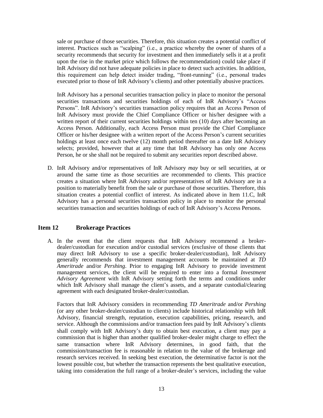sale or purchase of those securities. Therefore, this situation creates a potential conflict of interest. Practices such as "scalping" (i.e., a practice whereby the owner of shares of a security recommends that security for investment and then immediately sells it at a profit upon the rise in the market price which follows the recommendation) could take place if InR Advisory did not have adequate policies in place to detect such activities. In addition, this requirement can help detect insider trading, "front-running" (i.e., personal trades executed prior to those of InR Advisory's clients) and other potentially abusive practices.

InR Advisory has a personal securities transaction policy in place to monitor the personal securities transactions and securities holdings of each of InR Advisory's "Access Persons". InR Advisory's securities transaction policy requires that an Access Person of InR Advisory must provide the Chief Compliance Officer or his/her designee with a written report of their current securities holdings within ten (10) days after becoming an Access Person. Additionally, each Access Person must provide the Chief Compliance Officer or his/her designee with a written report of the Access Person's current securities holdings at least once each twelve (12) month period thereafter on a date InR Advisory selects; provided, however that at any time that InR Advisory has only one Access Person, he or she shall not be required to submit any securities report described above.

D. InR Advisory and/or representatives of InR Advisory *may* buy or sell securities, at or around the same time as those securities are recommended to clients. This practice creates a situation where InR Advisory and/or representatives of InR Advisory are in a position to materially benefit from the sale or purchase of those securities. Therefore, this situation creates a potential conflict of interest. As indicated above in Item 11.C, InR Advisory has a personal securities transaction policy in place to monitor the personal securities transaction and securities holdings of each of InR Advisory's Access Persons.

### <span id="page-12-0"></span>**Item 12 Brokerage Practices**

A. In the event that the client requests that InR Advisory recommend a brokerdealer/custodian for execution and/or custodial services (exclusive of those clients that may direct InR Advisory to use a specific broker-dealer/custodian), InR Advisory generally recommends that investment management accounts be maintained at *TD Ameritrade* and/or *Pershing*. Prior to engaging InR Advisory to provide investment management services, the client will be required to enter into a formal *Investment Advisory Agreement* with InR Advisory setting forth the terms and conditions under which InR Advisory shall manage the client's assets, and a separate custodial/clearing agreement with each designated broker-dealer/custodian.

Factors that InR Advisory considers in recommending *TD Ameritrade* and/or *Pershing* (or any other broker-dealer/custodian to clients) include historical relationship with InR Advisory, financial strength, reputation, execution capabilities, pricing, research, and service. Although the commissions and/or transaction fees paid by InR Advisory's clients shall comply with InR Advisory's duty to obtain best execution, a client may pay a commission that is higher than another qualified broker-dealer might charge to effect the same transaction where InR Advisory determines, in good faith, that the commission/transaction fee is reasonable in relation to the value of the brokerage and research services received. In seeking best execution, the determinative factor is not the lowest possible cost, but whether the transaction represents the best qualitative execution, taking into consideration the full range of a broker-dealer's services, including the value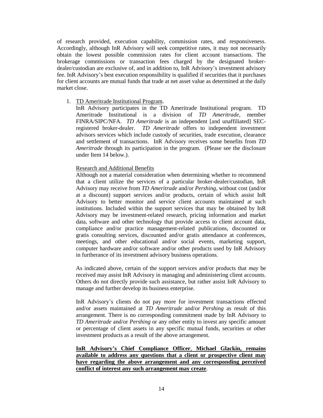of research provided, execution capability, commission rates, and responsiveness. Accordingly, although InR Advisory will seek competitive rates, it may not necessarily obtain the lowest possible commission rates for client account transactions. The brokerage commissions or transaction fees charged by the designated brokerdealer/custodian are exclusive of, and in addition to, InR Advisory's investment advisory fee. InR Advisory's best execution responsibility is qualified if securities that it purchases for client accounts are mutual funds that trade at net asset value as determined at the daily market close.

#### 1. TD Ameritrade Institutional Program.

InR Advisory participates in the TD Ameritrade Institutional program. TD Ameritrade Institutional is a division of *TD Ameritrade*, member FINRA/SIPC/NFA. *TD Ameritrade* is an independent [and unaffiliated] SECregistered broker-dealer. *TD Ameritrade* offers to independent investment advisors services which include custody of securities, trade execution, clearance and settlement of transactions. InR Advisory receives some benefits from *TD Ameritrade* through its participation in the program. (Please see the disclosure under Item 14 below.).

#### Research and Additional Benefits

Although not a material consideration when determining whether to recommend that a client utilize the services of a particular broker-dealer/custodian, InR Advisory may receive from *TD Ameritrade* and/or *Pershing*, without cost (and/or at a discount) support services and/or products, certain of which assist InR Advisory to better monitor and service client accounts maintained at such institutions. Included within the support services that may be obtained by InR Advisory may be investment-related research, pricing information and market data, software and other technology that provide access to client account data, compliance and/or practice management-related publications, discounted or gratis consulting services, discounted and/or gratis attendance at conferences, meetings, and other educational and/or social events, marketing support, computer hardware and/or software and/or other products used by InR Advisory in furtherance of its investment advisory business operations.

As indicated above, certain of the support services and/or products that *may* be received may assist InR Advisory in managing and administering client accounts. Others do not directly provide such assistance, but rather assist InR Advisory to manage and further develop its business enterprise.

InR Advisory's clients do not pay more for investment transactions effected and/or assets maintained at *TD Ameritrade* and/or *Pershing* as result of this arrangement. There is no corresponding commitment made by InR Advisory to *TD Ameritrade* and/or *Pershing* or any other entity to invest any specific amount or percentage of client assets in any specific mutual funds, securities or other investment products as a result of the above arrangement.

# **InR Advisory's Chief Compliance Officer**, **Michael Glackin, remains available to address any questions that a client or prospective client may have regarding the above arrangement and any corresponding perceived conflict of interest any such arrangement may create**.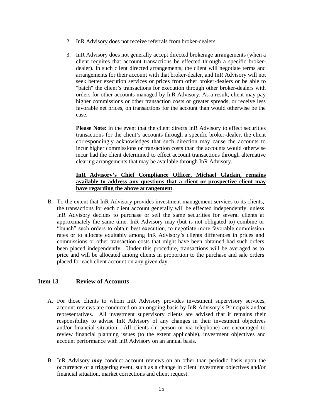- 2. InR Advisory does not receive referrals from broker-dealers.
- 3. InR Advisory does not generally accept directed brokerage arrangements (when a client requires that account transactions be effected through a specific brokerdealer). In such client directed arrangements, the client will negotiate terms and arrangements for their account with that broker-dealer, and InR Advisory will not seek better execution services or prices from other broker-dealers or be able to "batch" the client's transactions for execution through other broker-dealers with orders for other accounts managed by InR Advisory. As a result, client may pay higher commissions or other transaction costs or greater spreads, or receive less favorable net prices, on transactions for the account than would otherwise be the case.

**Please Note**: In the event that the client directs InR Advisory to effect securities transactions for the client's accounts through a specific broker-dealer, the client correspondingly acknowledges that such direction may cause the accounts to incur higher commissions or transaction costs than the accounts would otherwise incur had the client determined to effect account transactions through alternative clearing arrangements that may be available through InR Advisory.

### **InR Advisory's Chief Compliance Officer, Michael Glackin, remains available to address any questions that a client or prospective client may have regarding the above arrangement**.

B. To the extent that InR Advisory provides investment management services to its clients, the transactions for each client account generally will be effected independently, unless InR Advisory decides to purchase or sell the same securities for several clients at approximately the same time. InR Advisory may (but is not obligated to) combine or "bunch" such orders to obtain best execution, to negotiate more favorable commission rates or to allocate equitably among InR Advisory's clients differences in prices and commissions or other transaction costs that might have been obtained had such orders been placed independently. Under this procedure, transactions will be averaged as to price and will be allocated among clients in proportion to the purchase and sale orders placed for each client account on any given day.

# <span id="page-14-0"></span>**Item 13 Review of Accounts**

- A. For those clients to whom InR Advisory provides investment supervisory services, account reviews are conducted on an ongoing basis by InR Advisory's Principals and/or representatives. All investment supervisory clients are advised that it remains their responsibility to advise InR Advisory of any changes in their investment objectives and/or financial situation. All clients (in person or via telephone) are encouraged to review financial planning issues (to the extent applicable), investment objectives and account performance with InR Advisory on an annual basis.
- B. InR Advisory *may* conduct account reviews on an other than periodic basis upon the occurrence of a triggering event, such as a change in client investment objectives and/or financial situation, market corrections and client request.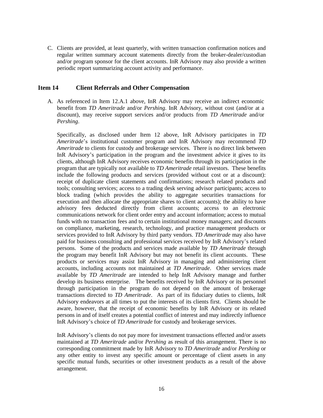C. Clients are provided, at least quarterly, with written transaction confirmation notices and regular written summary account statements directly from the broker-dealer/custodian and/or program sponsor for the client accounts. InR Advisory may also provide a written periodic report summarizing account activity and performance.

#### <span id="page-15-0"></span>**Item 14 Client Referrals and Other Compensation**

A. As referenced in Item 12.A.1 above, InR Advisory may receive an indirect economic benefit from *TD Ameritrade* and/or *Pershing*. InR Advisory, without cost (and/or at a discount), may receive support services and/or products from *TD Ameritrade* and/or *Pershing*.

Specifically, as disclosed under Item 12 above, InR Advisory participates in *TD Ameritrade*'s institutional customer program and InR Advisory may recommend *TD Ameritrade* to clients for custody and brokerage services. There is no direct link between InR Advisory's participation in the program and the investment advice it gives to its clients, although InR Advisory receives economic benefits through its participation in the program that are typically not available to *TD Ameritrade* retail investors. These benefits include the following products and services (provided without cost or at a discount): receipt of duplicate client statements and confirmations; research related products and tools; consulting services; access to a trading desk serving advisor participants; access to block trading (which provides the ability to aggregate securities transactions for execution and then allocate the appropriate shares to client accounts); the ability to have advisory fees deducted directly from client accounts; access to an electronic communications network for client order entry and account information; access to mutual funds with no transaction fees and to certain institutional money managers; and discounts on compliance, marketing, research, technology, and practice management products or services provided to InR Advisory by third party vendors. *TD Ameritrade* may also have paid for business consulting and professional services received by InR Advisory's related persons. Some of the products and services made available by *TD Ameritrade* through the program may benefit InR Advisory but may not benefit its client accounts. These products or services may assist InR Advisory in managing and administering client accounts, including accounts not maintained at *TD Ameritrade*. Other services made available by *TD Ameritrade* are intended to help InR Advisory manage and further develop its business enterprise. The benefits received by InR Advisory or its personnel through participation in the program do not depend on the amount of brokerage transactions directed to *TD Ameritrade*. As part of its fiduciary duties to clients, InR Advisory endeavors at all times to put the interests of its clients first. Clients should be aware, however, that the receipt of economic benefits by InR Advisory or its related persons in and of itself creates a potential conflict of interest and may indirectly influence InR Advisory's choice of *TD Ameritrade* for custody and brokerage services.

InR Advisory's clients do not pay more for investment transactions effected and/or assets maintained at *TD Ameritrade* and/or *Pershing* as result of this arrangement. There is no corresponding commitment made by InR Advisory to *TD Ameritrade* and/or *Pershing* or any other entity to invest any specific amount or percentage of client assets in any specific mutual funds, securities or other investment products as a result of the above arrangement.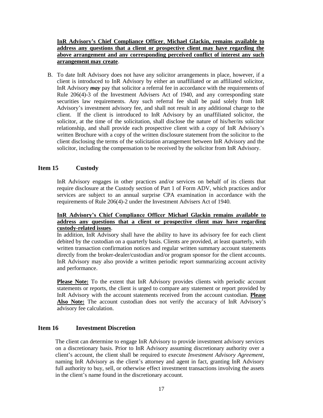# **InR Advisory's Chief Compliance Officer**, **Michael Glackin, remains available to address any questions that a client or prospective client may have regarding the above arrangement and any corresponding perceived conflict of interest any such arrangement may create**.

B. To date InR Advisory does not have any solicitor arrangements in place, however, if a client is introduced to InR Advisory by either an unaffiliated or an affiliated solicitor, InR Advisory *may* pay that solicitor a referral fee in accordance with the requirements of Rule 206(4)-3 of the Investment Advisers Act of 1940, and any corresponding state securities law requirements. Any such referral fee shall be paid solely from InR Advisory's investment advisory fee, and shall not result in any additional charge to the client. If the client is introduced to InR Advisory by an unaffiliated solicitor, the solicitor, at the time of the solicitation, shall disclose the nature of his/her/its solicitor relationship, and shall provide each prospective client with a copy of InR Advisory's written Brochure with a copy of the written disclosure statement from the solicitor to the client disclosing the terms of the solicitation arrangement between InR Advisory and the solicitor, including the compensation to be received by the solicitor from InR Advisory.

# <span id="page-16-0"></span>**Item 15 Custody**

InR Advisory engages in other practices and/or services on behalf of its clients that require disclosure at the Custody section of Part 1 of Form ADV, which practices and/or services are subject to an annual surprise CPA examination in accordance with the requirements of Rule 206(4)-2 under the Investment Advisers Act of 1940.

#### **InR Advisory's Chief Compliance Officer Michael Glackin remains available to address any questions that a client or prospective client may have regarding custody-related issues**.

In addition, InR Advisory shall have the ability to have its advisory fee for each client debited by the custodian on a quarterly basis. Clients are provided, at least quarterly, with written transaction confirmation notices and regular written summary account statements directly from the broker-dealer/custodian and/or program sponsor for the client accounts. InR Advisory may also provide a written periodic report summarizing account activity and performance.

**Please Note:** To the extent that InR Advisory provides clients with periodic account statements or reports, the client is urged to compare any statement or report provided by InR Advisory with the account statements received from the account custodian. **Please**  Also Note: The account custodian does not verify the accuracy of InR Advisory's advisory fee calculation.

# <span id="page-16-1"></span>**Item 16 Investment Discretion**

The client can determine to engage InR Advisory to provide investment advisory services on a discretionary basis. Prior to InR Advisory assuming discretionary authority over a client's account, the client shall be required to execute *Investment Advisory Agreement*, naming InR Advisory as the client's attorney and agent in fact, granting InR Advisory full authority to buy, sell, or otherwise effect investment transactions involving the assets in the client's name found in the discretionary account.